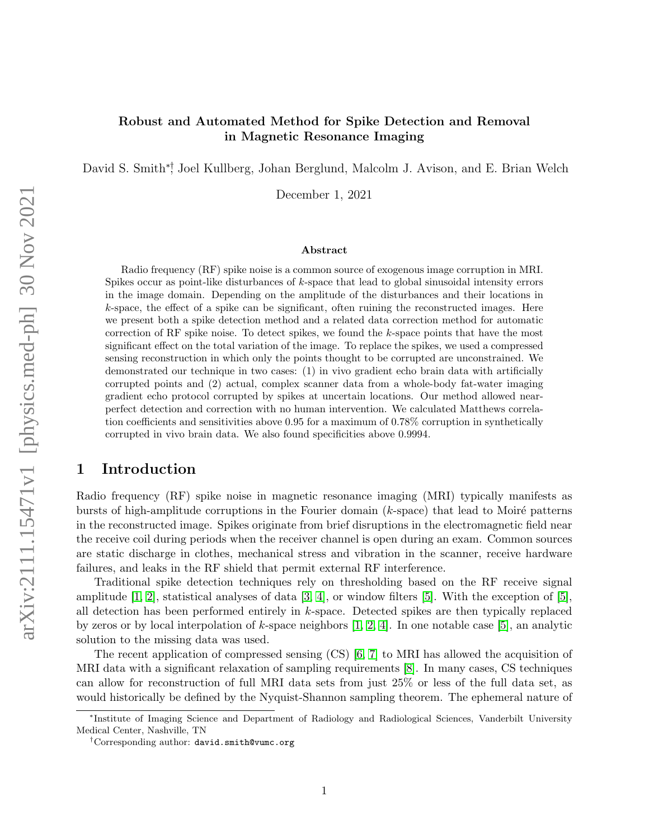### Robust and Automated Method for Spike Detection and Removal in Magnetic Resonance Imaging

David S. Smith∗†, Joel Kullberg, Johan Berglund, Malcolm J. Avison, and E. Brian Welch

December 1, 2021

#### Abstract

Radio frequency (RF) spike noise is a common source of exogenous image corruption in MRI. Spikes occur as point-like disturbances of  $k$ -space that lead to global sinusoidal intensity errors in the image domain. Depending on the amplitude of the disturbances and their locations in k-space, the effect of a spike can be significant, often ruining the reconstructed images. Here we present both a spike detection method and a related data correction method for automatic correction of RF spike noise. To detect spikes, we found the k-space points that have the most significant effect on the total variation of the image. To replace the spikes, we used a compressed sensing reconstruction in which only the points thought to be corrupted are unconstrained. We demonstrated our technique in two cases: (1) in vivo gradient echo brain data with artificially corrupted points and (2) actual, complex scanner data from a whole-body fat-water imaging gradient echo protocol corrupted by spikes at uncertain locations. Our method allowed nearperfect detection and correction with no human intervention. We calculated Matthews correlation coefficients and sensitivities above 0.95 for a maximum of 0.78% corruption in synthetically corrupted in vivo brain data. We also found specificities above 0.9994.

### 1 Introduction

Radio frequency (RF) spike noise in magnetic resonance imaging (MRI) typically manifests as bursts of high-amplitude corruptions in the Fourier domain  $(k$ -space) that lead to Moiré patterns in the reconstructed image. Spikes originate from brief disruptions in the electromagnetic field near the receive coil during periods when the receiver channel is open during an exam. Common sources are static discharge in clothes, mechanical stress and vibration in the scanner, receive hardware failures, and leaks in the RF shield that permit external RF interference.

Traditional spike detection techniques rely on thresholding based on the RF receive signal amplitude  $[1, 2]$  $[1, 2]$ , statistical analyses of data  $[3, 4]$  $[3, 4]$ , or window filters  $[5]$ . With the exception of  $[5]$ , all detection has been performed entirely in k-space. Detected spikes are then typically replaced by zeros or by local interpolation of k-space neighbors [\[1,](#page-8-0) [2,](#page-8-1) [4\]](#page-8-3). In one notable case [\[5\]](#page-8-4), an analytic solution to the missing data was used.

The recent application of compressed sensing (CS) [\[6,](#page-8-5) [7\]](#page-8-6) to MRI has allowed the acquisition of MRI data with a significant relaxation of sampling requirements [\[8\]](#page-8-7). In many cases, CS techniques can allow for reconstruction of full MRI data sets from just 25% or less of the full data set, as would historically be defined by the Nyquist-Shannon sampling theorem. The ephemeral nature of

<sup>∗</sup> Institute of Imaging Science and Department of Radiology and Radiological Sciences, Vanderbilt University Medical Center, Nashville, TN

<sup>†</sup>Corresponding author: david.smith@vumc.org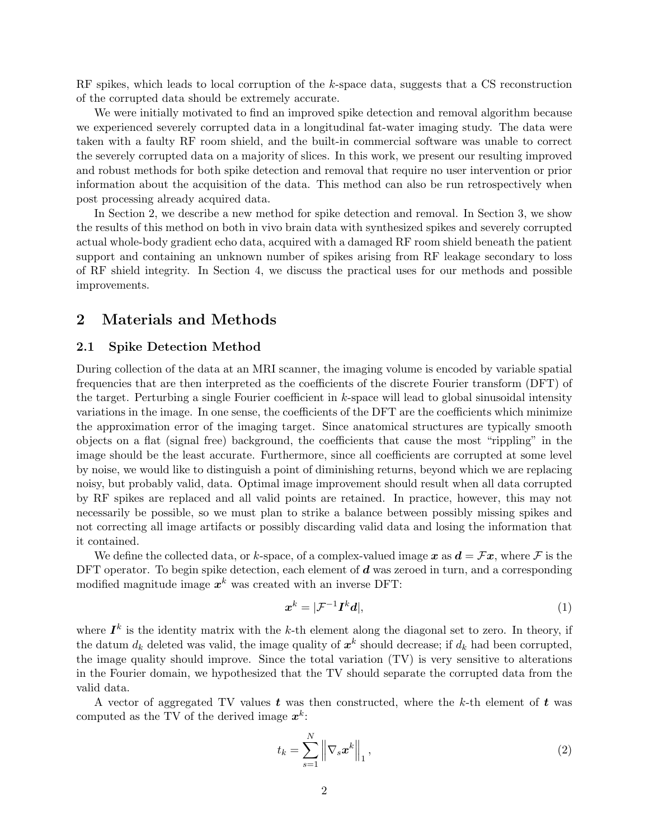RF spikes, which leads to local corruption of the k-space data, suggests that a CS reconstruction of the corrupted data should be extremely accurate.

We were initially motivated to find an improved spike detection and removal algorithm because we experienced severely corrupted data in a longitudinal fat-water imaging study. The data were taken with a faulty RF room shield, and the built-in commercial software was unable to correct the severely corrupted data on a majority of slices. In this work, we present our resulting improved and robust methods for both spike detection and removal that require no user intervention or prior information about the acquisition of the data. This method can also be run retrospectively when post processing already acquired data.

In Section 2, we describe a new method for spike detection and removal. In Section 3, we show the results of this method on both in vivo brain data with synthesized spikes and severely corrupted actual whole-body gradient echo data, acquired with a damaged RF room shield beneath the patient support and containing an unknown number of spikes arising from RF leakage secondary to loss of RF shield integrity. In Section 4, we discuss the practical uses for our methods and possible improvements.

## 2 Materials and Methods

#### 2.1 Spike Detection Method

During collection of the data at an MRI scanner, the imaging volume is encoded by variable spatial frequencies that are then interpreted as the coefficients of the discrete Fourier transform (DFT) of the target. Perturbing a single Fourier coefficient in  $k$ -space will lead to global sinusoidal intensity variations in the image. In one sense, the coefficients of the DFT are the coefficients which minimize the approximation error of the imaging target. Since anatomical structures are typically smooth objects on a flat (signal free) background, the coefficients that cause the most "rippling" in the image should be the least accurate. Furthermore, since all coefficients are corrupted at some level by noise, we would like to distinguish a point of diminishing returns, beyond which we are replacing noisy, but probably valid, data. Optimal image improvement should result when all data corrupted by RF spikes are replaced and all valid points are retained. In practice, however, this may not necessarily be possible, so we must plan to strike a balance between possibly missing spikes and not correcting all image artifacts or possibly discarding valid data and losing the information that it contained.

We define the collected data, or k-space, of a complex-valued image x as  $d = \mathcal{F}x$ , where F is the DFT operator. To begin spike detection, each element of  $d$  was zeroed in turn, and a corresponding modified magnitude image  $x^k$  was created with an inverse DFT:

$$
x^k = |\mathcal{F}^{-1}I^k d|,\tag{1}
$$

where  $I^k$  is the identity matrix with the k-th element along the diagonal set to zero. In theory, if the datum  $d_k$  deleted was valid, the image quality of  $x^k$  should decrease; if  $d_k$  had been corrupted, the image quality should improve. Since the total variation (TV) is very sensitive to alterations in the Fourier domain, we hypothesized that the TV should separate the corrupted data from the valid data.

A vector of aggregated TV values  $t$  was then constructed, where the k-th element of  $t$  was computed as the TV of the derived image  $x^k$ :

$$
t_k = \sum_{s=1}^{N} \left\| \nabla_s \boldsymbol{x}^k \right\|_1, \qquad (2)
$$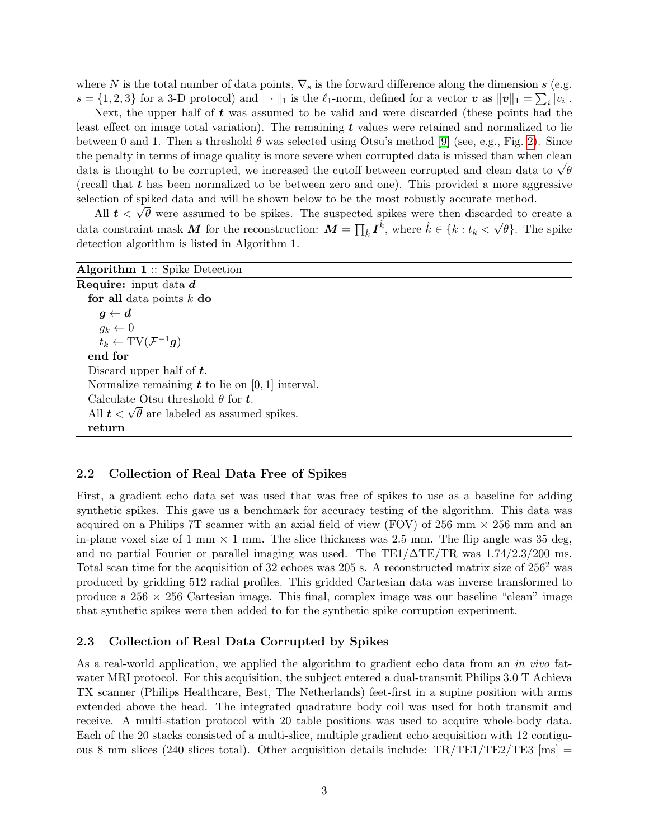where N is the total number of data points,  $\nabla_s$  is the forward difference along the dimension s (e.g.  $s = \{1, 2, 3\}$  for a 3-D protocol) and  $\|\cdot\|_1$  is the  $\ell_1$ -norm, defined for a vector  $\boldsymbol{v}$  as  $\|\boldsymbol{v}\|_1 = \sum_i |v_i|$ .

Next, the upper half of t was assumed to be valid and were discarded (these points had the least effect on image total variation). The remaining  $t$  values were retained and normalized to lie between 0 and 1. Then a threshold  $\theta$  was selected using Otsu's method [\[9\]](#page-8-8) (see, e.g., Fig. [2\)](#page-5-0). Since the penalty in terms of image quality is more severe when corrupted data is missed than when clean the penalty in terms of image quality is more severe when corrupted data is missed than when clean data to  $\sqrt{\theta}$ (recall that  $t$  has been normalized to be between zero and one). This provided a more aggressive selection of spiked data and will be shown below to be the most robustly accurate method.

All  $t < \sqrt{\theta}$  were assumed to be spikes. The suspected spikes were then discarded to create a data constraint mask M for the reconstruction:  $M = \prod_{\hat{k}} I^{\hat{k}}$ , where  $\hat{k} \in \{k : t_k < \sqrt{\theta}\}$ . The spike detection algorithm is listed in Algorithm 1.

| <b>Algorithm 1</b> :: Spike Detection                  |
|--------------------------------------------------------|
| <b>Require:</b> input data $d$                         |
| for all data points $k$ do                             |
| $g \leftarrow d$                                       |
| $g_k \leftarrow 0$                                     |
| $t_k \leftarrow TV(\mathcal{F}^{-1}\mathbf{g})$        |
| end for                                                |
| Discard upper half of $t$ .                            |
| Normalize remaining $t$ to lie on [0, 1] interval.     |
| Calculate Otsu threshold $\theta$ for t.               |
| All $t < \sqrt{\theta}$ are labeled as assumed spikes. |
| return                                                 |

#### 2.2 Collection of Real Data Free of Spikes

First, a gradient echo data set was used that was free of spikes to use as a baseline for adding synthetic spikes. This gave us a benchmark for accuracy testing of the algorithm. This data was acquired on a Philips 7T scanner with an axial field of view (FOV) of 256 mm  $\times$  256 mm and an in-plane voxel size of 1 mm  $\times$  1 mm. The slice thickness was 2.5 mm. The flip angle was 35 deg, and no partial Fourier or parallel imaging was used. The TE1/∆TE/TR was 1.74/2.3/200 ms. Total scan time for the acquisition of 32 echoes was 205 s. A reconstructed matrix size of  $256^2$  was produced by gridding 512 radial profiles. This gridded Cartesian data was inverse transformed to produce a  $256 \times 256$  Cartesian image. This final, complex image was our baseline "clean" image that synthetic spikes were then added to for the synthetic spike corruption experiment.

### 2.3 Collection of Real Data Corrupted by Spikes

As a real-world application, we applied the algorithm to gradient echo data from an in vivo fatwater MRI protocol. For this acquisition, the subject entered a dual-transmit Philips 3.0 T Achieva TX scanner (Philips Healthcare, Best, The Netherlands) feet-first in a supine position with arms extended above the head. The integrated quadrature body coil was used for both transmit and receive. A multi-station protocol with 20 table positions was used to acquire whole-body data. Each of the 20 stacks consisted of a multi-slice, multiple gradient echo acquisition with 12 contiguous 8 mm slices (240 slices total). Other acquisition details include:  $TR/TE1/TE2/TE3$  [ms] =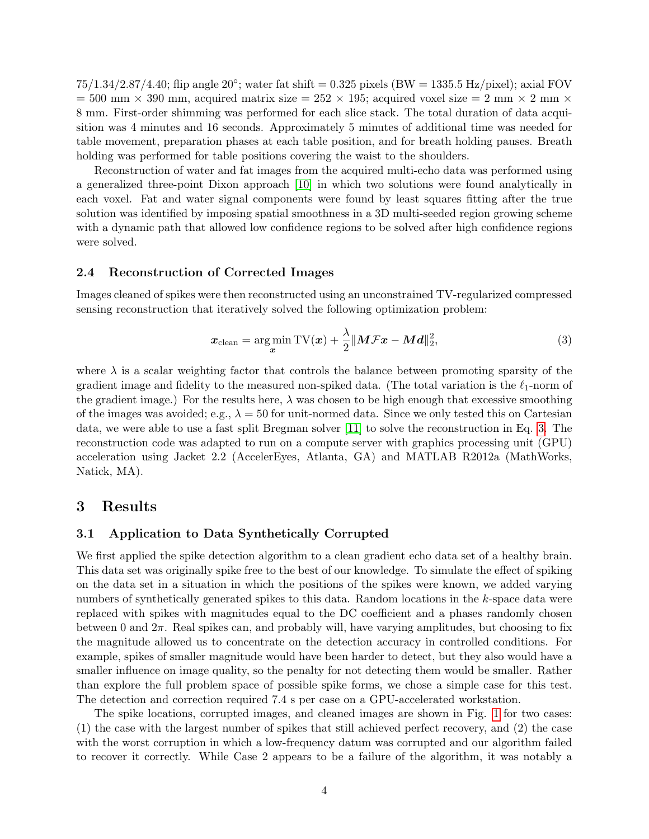$75/1.34/2.87/4.40$ ; flip angle  $20^{\circ}$ ; water fat shift = 0.325 pixels (BW = 1335.5 Hz/pixel); axial FOV  $= 500$  mm  $\times$  390 mm, acquired matrix size  $= 252 \times 195$ ; acquired voxel size  $= 2$  mm  $\times$  2 mm  $\times$ 8 mm. First-order shimming was performed for each slice stack. The total duration of data acquisition was 4 minutes and 16 seconds. Approximately 5 minutes of additional time was needed for table movement, preparation phases at each table position, and for breath holding pauses. Breath holding was performed for table positions covering the waist to the shoulders.

Reconstruction of water and fat images from the acquired multi-echo data was performed using a generalized three-point Dixon approach [\[10\]](#page-8-9) in which two solutions were found analytically in each voxel. Fat and water signal components were found by least squares fitting after the true solution was identified by imposing spatial smoothness in a 3D multi-seeded region growing scheme with a dynamic path that allowed low confidence regions to be solved after high confidence regions were solved.

#### 2.4 Reconstruction of Corrected Images

Images cleaned of spikes were then reconstructed using an unconstrained TV-regularized compressed sensing reconstruction that iteratively solved the following optimization problem:

<span id="page-3-0"></span>
$$
\boldsymbol{x}_{\text{clean}} = \underset{\boldsymbol{x}}{\text{arg min}} \text{TV}(\boldsymbol{x}) + \frac{\lambda}{2} \|\boldsymbol{M}\boldsymbol{\mathcal{F}}\boldsymbol{x} - \boldsymbol{M}\boldsymbol{d}\|_2^2, \tag{3}
$$

where  $\lambda$  is a scalar weighting factor that controls the balance between promoting sparsity of the gradient image and fidelity to the measured non-spiked data. (The total variation is the  $\ell_1$ -norm of the gradient image.) For the results here,  $\lambda$  was chosen to be high enough that excessive smoothing of the images was avoided; e.g.,  $\lambda = 50$  for unit-normed data. Since we only tested this on Cartesian data, we were able to use a fast split Bregman solver [\[11\]](#page-8-10) to solve the reconstruction in Eq. [3.](#page-3-0) The reconstruction code was adapted to run on a compute server with graphics processing unit (GPU) acceleration using Jacket 2.2 (AccelerEyes, Atlanta, GA) and MATLAB R2012a (MathWorks, Natick, MA).

### 3 Results

#### 3.1 Application to Data Synthetically Corrupted

We first applied the spike detection algorithm to a clean gradient echo data set of a healthy brain. This data set was originally spike free to the best of our knowledge. To simulate the effect of spiking on the data set in a situation in which the positions of the spikes were known, we added varying numbers of synthetically generated spikes to this data. Random locations in the k-space data were replaced with spikes with magnitudes equal to the DC coefficient and a phases randomly chosen between 0 and  $2\pi$ . Real spikes can, and probably will, have varying amplitudes, but choosing to fix the magnitude allowed us to concentrate on the detection accuracy in controlled conditions. For example, spikes of smaller magnitude would have been harder to detect, but they also would have a smaller influence on image quality, so the penalty for not detecting them would be smaller. Rather than explore the full problem space of possible spike forms, we chose a simple case for this test. The detection and correction required 7.4 s per case on a GPU-accelerated workstation.

The spike locations, corrupted images, and cleaned images are shown in Fig. [1](#page-4-0) for two cases: (1) the case with the largest number of spikes that still achieved perfect recovery, and (2) the case with the worst corruption in which a low-frequency datum was corrupted and our algorithm failed to recover it correctly. While Case 2 appears to be a failure of the algorithm, it was notably a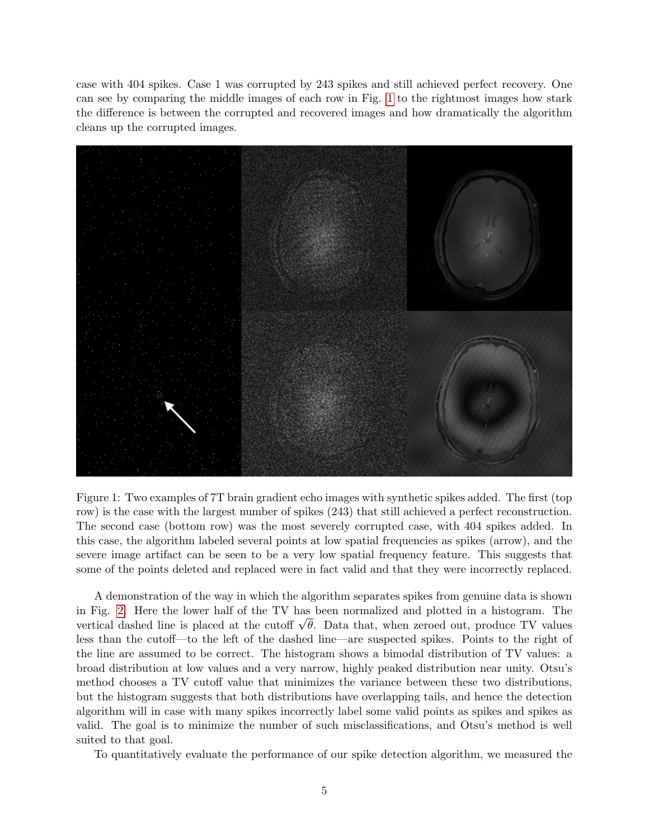case with 404 spikes. Case 1 was corrupted by 243 spikes and still achieved perfect recovery. One can see by comparing the middle images of each row in Fig. [1](#page-4-0) to the rightmost images how stark the difference is between the corrupted and recovered images and how dramatically the algorithm cleans up the corrupted images.



<span id="page-4-0"></span>Figure 1: Two examples of 7T brain gradient echo images with synthetic spikes added. The first (top row) is the case with the largest number of spikes (243) that still achieved a perfect reconstruction. The second case (bottom row) was the most severely corrupted case, with 404 spikes added. In this case, the algorithm labeled several points at low spatial frequencies as spikes (arrow), and the severe image artifact can be seen to be a very low spatial frequency feature. This suggests that some of the points deleted and replaced were in fact valid and that they were incorrectly replaced.

A demonstration of the way in which the algorithm separates spikes from genuine data is shown in Fig. [2.](#page-5-0) Here the lower half of the TV has been normalized and plotted in a histogram. The in Fig. 2. Here the lower half of the 1 v has been normalized and plotted in a histogram. The vertical dashed line is placed at the cutoff  $\sqrt{\theta}$ . Data that, when zeroed out, produce TV values less than the cutoff—to the left of the dashed line—are suspected spikes. Points to the right of the line are assumed to be correct. The histogram shows a bimodal distribution of TV values: a broad distribution at low values and a very narrow, highly peaked distribution near unity. Otsu's method chooses a TV cutoff value that minimizes the variance between these two distributions, but the histogram suggests that both distributions have overlapping tails, and hence the detection algorithm will in case with many spikes incorrectly label some valid points as spikes and spikes as valid. The goal is to minimize the number of such misclassifications, and Otsu's method is well suited to that goal.

To quantitatively evaluate the performance of our spike detection algorithm, we measured the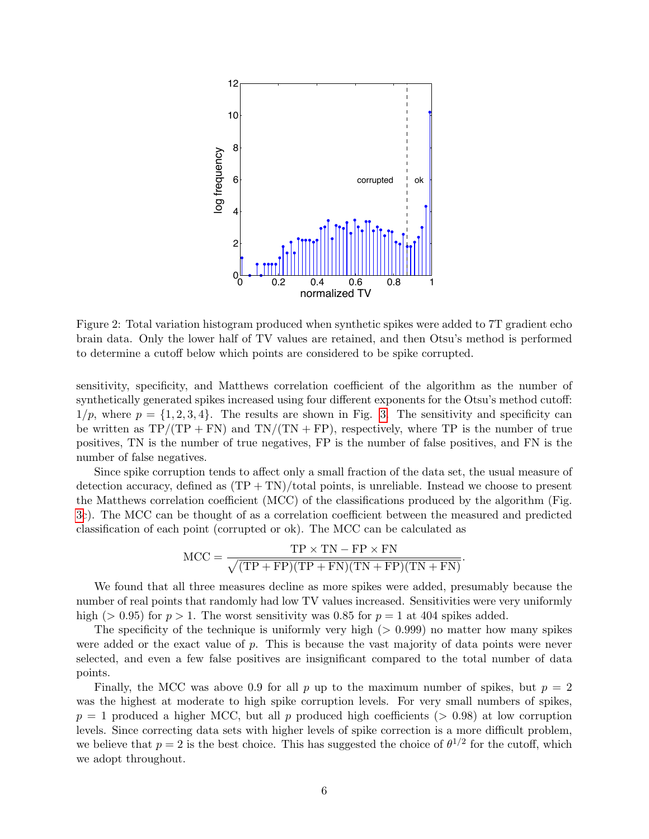

<span id="page-5-0"></span>Figure 2: Total variation histogram produced when synthetic spikes were added to 7T gradient echo brain data. Only the lower half of TV values are retained, and then Otsu's method is performed to determine a cutoff below which points are considered to be spike corrupted.

sensitivity, specificity, and Matthews correlation coefficient of the algorithm as the number of synthetically generated spikes increased using four different exponents for the Otsu's method cutoff:  $1/p$ , where  $p = \{1, 2, 3, 4\}$ . The results are shown in Fig. [3.](#page-10-0) The sensitivity and specificity can be written as  $TP/(TP + FN)$  and  $TN/(TN + FP)$ , respectively, where TP is the number of true positives, TN is the number of true negatives, FP is the number of false positives, and FN is the number of false negatives.

Since spike corruption tends to affect only a small fraction of the data set, the usual measure of detection accuracy, defined as  $(TP + TN)/total$  points, is unreliable. Instead we choose to present the Matthews correlation coefficient (MCC) of the classifications produced by the algorithm (Fig. [3c](#page-10-0)). The MCC can be thought of as a correlation coefficient between the measured and predicted classification of each point (corrupted or ok). The MCC can be calculated as

$$
MCC = \frac{TP \times TN - FP \times FN}{\sqrt{(TP + FP)(TP + FN)(TN + FP)(TN + FN)}}.
$$

We found that all three measures decline as more spikes were added, presumably because the number of real points that randomly had low TV values increased. Sensitivities were very uniformly high ( $> 0.95$ ) for  $p > 1$ . The worst sensitivity was 0.85 for  $p = 1$  at 404 spikes added.

The specificity of the technique is uniformly very high  $(> 0.999)$  no matter how many spikes were added or the exact value of  $p$ . This is because the vast majority of data points were never selected, and even a few false positives are insignificant compared to the total number of data points.

Finally, the MCC was above 0.9 for all p up to the maximum number of spikes, but  $p = 2$ was the highest at moderate to high spike corruption levels. For very small numbers of spikes,  $p = 1$  produced a higher MCC, but all p produced high coefficients ( $> 0.98$ ) at low corruption levels. Since correcting data sets with higher levels of spike correction is a more difficult problem, we believe that  $p=2$  is the best choice. This has suggested the choice of  $\theta^{1/2}$  for the cutoff, which we adopt throughout.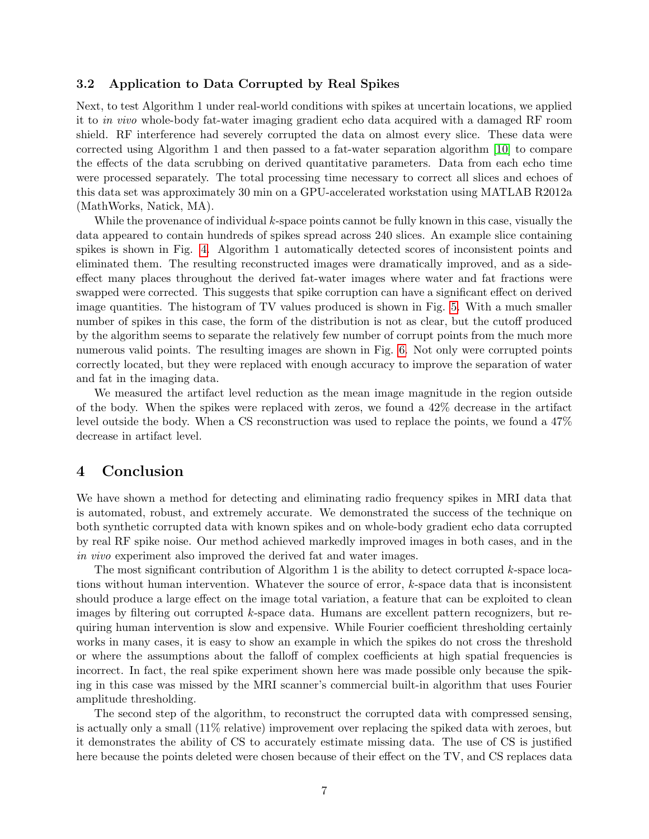### 3.2 Application to Data Corrupted by Real Spikes

Next, to test Algorithm 1 under real-world conditions with spikes at uncertain locations, we applied it to in vivo whole-body fat-water imaging gradient echo data acquired with a damaged RF room shield. RF interference had severely corrupted the data on almost every slice. These data were corrected using Algorithm 1 and then passed to a fat-water separation algorithm [\[10\]](#page-8-9) to compare the effects of the data scrubbing on derived quantitative parameters. Data from each echo time were processed separately. The total processing time necessary to correct all slices and echoes of this data set was approximately 30 min on a GPU-accelerated workstation using MATLAB R2012a (MathWorks, Natick, MA).

While the provenance of individual k-space points cannot be fully known in this case, visually the data appeared to contain hundreds of spikes spread across 240 slices. An example slice containing spikes is shown in Fig. [4.](#page-11-0) Algorithm 1 automatically detected scores of inconsistent points and eliminated them. The resulting reconstructed images were dramatically improved, and as a sideeffect many places throughout the derived fat-water images where water and fat fractions were swapped were corrected. This suggests that spike corruption can have a significant effect on derived image quantities. The histogram of TV values produced is shown in Fig. [5.](#page-12-0) With a much smaller number of spikes in this case, the form of the distribution is not as clear, but the cutoff produced by the algorithm seems to separate the relatively few number of corrupt points from the much more numerous valid points. The resulting images are shown in Fig. [6.](#page-13-0) Not only were corrupted points correctly located, but they were replaced with enough accuracy to improve the separation of water and fat in the imaging data.

We measured the artifact level reduction as the mean image magnitude in the region outside of the body. When the spikes were replaced with zeros, we found a 42% decrease in the artifact level outside the body. When a CS reconstruction was used to replace the points, we found a 47% decrease in artifact level.

## 4 Conclusion

We have shown a method for detecting and eliminating radio frequency spikes in MRI data that is automated, robust, and extremely accurate. We demonstrated the success of the technique on both synthetic corrupted data with known spikes and on whole-body gradient echo data corrupted by real RF spike noise. Our method achieved markedly improved images in both cases, and in the in vivo experiment also improved the derived fat and water images.

The most significant contribution of Algorithm 1 is the ability to detect corrupted  $k$ -space locations without human intervention. Whatever the source of error,  $k$ -space data that is inconsistent should produce a large effect on the image total variation, a feature that can be exploited to clean images by filtering out corrupted k-space data. Humans are excellent pattern recognizers, but requiring human intervention is slow and expensive. While Fourier coefficient thresholding certainly works in many cases, it is easy to show an example in which the spikes do not cross the threshold or where the assumptions about the falloff of complex coefficients at high spatial frequencies is incorrect. In fact, the real spike experiment shown here was made possible only because the spiking in this case was missed by the MRI scanner's commercial built-in algorithm that uses Fourier amplitude thresholding.

The second step of the algorithm, to reconstruct the corrupted data with compressed sensing, is actually only a small (11% relative) improvement over replacing the spiked data with zeroes, but it demonstrates the ability of CS to accurately estimate missing data. The use of CS is justified here because the points deleted were chosen because of their effect on the TV, and CS replaces data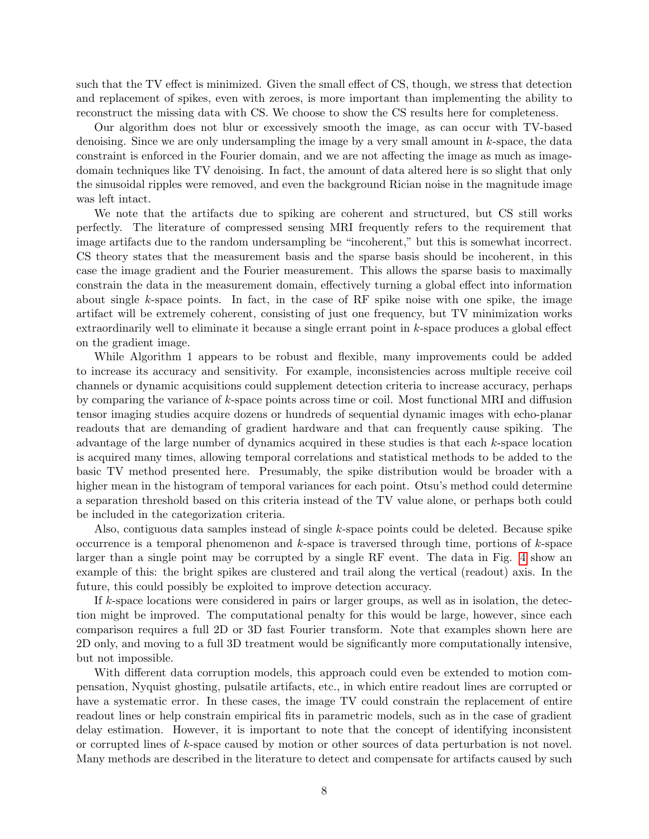such that the TV effect is minimized. Given the small effect of CS, though, we stress that detection and replacement of spikes, even with zeroes, is more important than implementing the ability to reconstruct the missing data with CS. We choose to show the CS results here for completeness.

Our algorithm does not blur or excessively smooth the image, as can occur with TV-based denoising. Since we are only undersampling the image by a very small amount in  $k$ -space, the data constraint is enforced in the Fourier domain, and we are not affecting the image as much as imagedomain techniques like TV denoising. In fact, the amount of data altered here is so slight that only the sinusoidal ripples were removed, and even the background Rician noise in the magnitude image was left intact.

We note that the artifacts due to spiking are coherent and structured, but CS still works perfectly. The literature of compressed sensing MRI frequently refers to the requirement that image artifacts due to the random undersampling be "incoherent," but this is somewhat incorrect. CS theory states that the measurement basis and the sparse basis should be incoherent, in this case the image gradient and the Fourier measurement. This allows the sparse basis to maximally constrain the data in the measurement domain, effectively turning a global effect into information about single  $k$ -space points. In fact, in the case of RF spike noise with one spike, the image artifact will be extremely coherent, consisting of just one frequency, but TV minimization works extraordinarily well to eliminate it because a single errant point in k-space produces a global effect on the gradient image.

While Algorithm 1 appears to be robust and flexible, many improvements could be added to increase its accuracy and sensitivity. For example, inconsistencies across multiple receive coil channels or dynamic acquisitions could supplement detection criteria to increase accuracy, perhaps by comparing the variance of k-space points across time or coil. Most functional MRI and diffusion tensor imaging studies acquire dozens or hundreds of sequential dynamic images with echo-planar readouts that are demanding of gradient hardware and that can frequently cause spiking. The advantage of the large number of dynamics acquired in these studies is that each k-space location is acquired many times, allowing temporal correlations and statistical methods to be added to the basic TV method presented here. Presumably, the spike distribution would be broader with a higher mean in the histogram of temporal variances for each point. Otsu's method could determine a separation threshold based on this criteria instead of the TV value alone, or perhaps both could be included in the categorization criteria.

Also, contiguous data samples instead of single k-space points could be deleted. Because spike occurrence is a temporal phenomenon and  $k$ -space is traversed through time, portions of  $k$ -space larger than a single point may be corrupted by a single RF event. The data in Fig. [4](#page-11-0) show an example of this: the bright spikes are clustered and trail along the vertical (readout) axis. In the future, this could possibly be exploited to improve detection accuracy.

If  $k$ -space locations were considered in pairs or larger groups, as well as in isolation, the detection might be improved. The computational penalty for this would be large, however, since each comparison requires a full 2D or 3D fast Fourier transform. Note that examples shown here are 2D only, and moving to a full 3D treatment would be significantly more computationally intensive, but not impossible.

With different data corruption models, this approach could even be extended to motion compensation, Nyquist ghosting, pulsatile artifacts, etc., in which entire readout lines are corrupted or have a systematic error. In these cases, the image TV could constrain the replacement of entire readout lines or help constrain empirical fits in parametric models, such as in the case of gradient delay estimation. However, it is important to note that the concept of identifying inconsistent or corrupted lines of k-space caused by motion or other sources of data perturbation is not novel. Many methods are described in the literature to detect and compensate for artifacts caused by such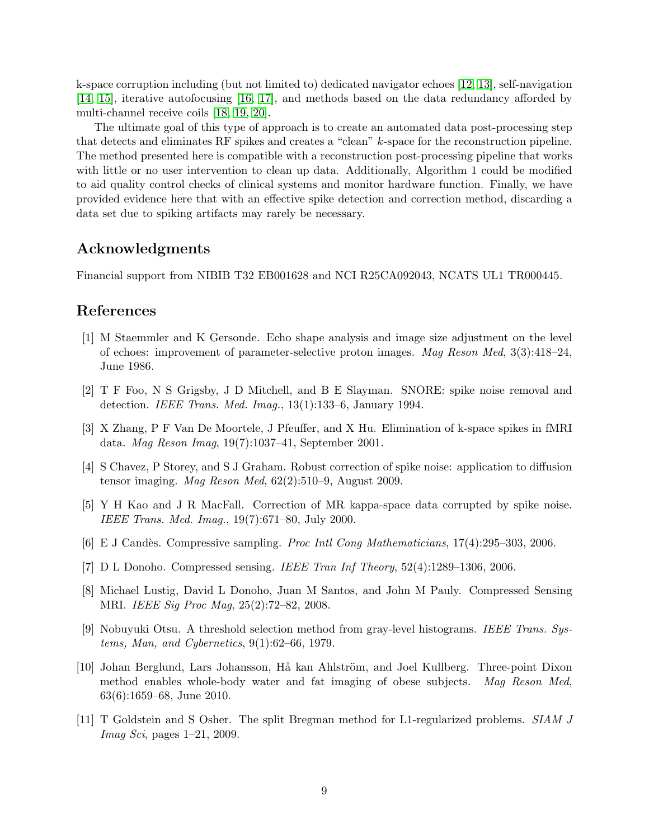k-space corruption including (but not limited to) dedicated navigator echoes [\[12,](#page-9-0) [13\]](#page-9-1), self-navigation [\[14,](#page-9-2) [15\]](#page-9-3), iterative autofocusing [\[16,](#page-9-4) [17\]](#page-9-5), and methods based on the data redundancy afforded by multi-channel receive coils [\[18,](#page-9-6) [19,](#page-9-7) [20\]](#page-9-8).

The ultimate goal of this type of approach is to create an automated data post-processing step that detects and eliminates RF spikes and creates a "clean" k-space for the reconstruction pipeline. The method presented here is compatible with a reconstruction post-processing pipeline that works with little or no user intervention to clean up data. Additionally, Algorithm 1 could be modified to aid quality control checks of clinical systems and monitor hardware function. Finally, we have provided evidence here that with an effective spike detection and correction method, discarding a data set due to spiking artifacts may rarely be necessary.

### Acknowledgments

Financial support from NIBIB T32 EB001628 and NCI R25CA092043, NCATS UL1 TR000445.

# References

- <span id="page-8-0"></span>[1] M Staemmler and K Gersonde. Echo shape analysis and image size adjustment on the level of echoes: improvement of parameter-selective proton images. Mag Reson Med, 3(3):418–24, June 1986.
- <span id="page-8-1"></span>[2] T F Foo, N S Grigsby, J D Mitchell, and B E Slayman. SNORE: spike noise removal and detection. IEEE Trans. Med. Imag., 13(1):133–6, January 1994.
- <span id="page-8-2"></span>[3] X Zhang, P F Van De Moortele, J Pfeuffer, and X Hu. Elimination of k-space spikes in fMRI data. Mag Reson Imag, 19(7):1037–41, September 2001.
- <span id="page-8-3"></span>[4] S Chavez, P Storey, and S J Graham. Robust correction of spike noise: application to diffusion tensor imaging. Mag Reson Med, 62(2):510–9, August 2009.
- <span id="page-8-4"></span>[5] Y H Kao and J R MacFall. Correction of MR kappa-space data corrupted by spike noise. IEEE Trans. Med. Imag., 19(7):671–80, July 2000.
- <span id="page-8-5"></span>[6] E J Candès. Compressive sampling. *Proc Intl Cong Mathematicians*, 17(4):295–303, 2006.
- <span id="page-8-6"></span>[7] D L Donoho. Compressed sensing. IEEE Tran Inf Theory, 52(4):1289–1306, 2006.
- <span id="page-8-7"></span>[8] Michael Lustig, David L Donoho, Juan M Santos, and John M Pauly. Compressed Sensing MRI. IEEE Sig Proc Mag, 25(2):72–82, 2008.
- <span id="page-8-8"></span>[9] Nobuyuki Otsu. A threshold selection method from gray-level histograms. IEEE Trans. Systems, Man, and Cybernetics, 9(1):62–66, 1979.
- <span id="page-8-9"></span>[10] Johan Berglund, Lars Johansson, Hå kan Ahlström, and Joel Kullberg. Three-point Dixon method enables whole-body water and fat imaging of obese subjects. Mag Reson Med, 63(6):1659–68, June 2010.
- <span id="page-8-10"></span>[11] T Goldstein and S Osher. The split Bregman method for L1-regularized problems. SIAM J Imag Sci, pages 1–21, 2009.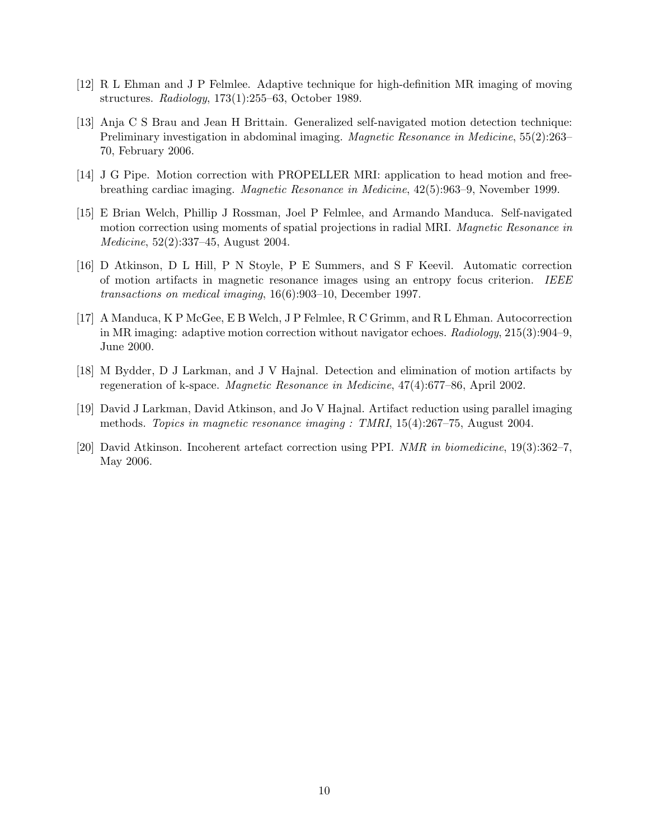- <span id="page-9-0"></span>[12] R L Ehman and J P Felmlee. Adaptive technique for high-definition MR imaging of moving structures. Radiology, 173(1):255–63, October 1989.
- <span id="page-9-1"></span>[13] Anja C S Brau and Jean H Brittain. Generalized self-navigated motion detection technique: Preliminary investigation in abdominal imaging. Magnetic Resonance in Medicine, 55(2):263– 70, February 2006.
- <span id="page-9-2"></span>[14] J G Pipe. Motion correction with PROPELLER MRI: application to head motion and freebreathing cardiac imaging. Magnetic Resonance in Medicine, 42(5):963–9, November 1999.
- <span id="page-9-3"></span>[15] E Brian Welch, Phillip J Rossman, Joel P Felmlee, and Armando Manduca. Self-navigated motion correction using moments of spatial projections in radial MRI. *Magnetic Resonance in* Medicine, 52(2):337–45, August 2004.
- <span id="page-9-4"></span>[16] D Atkinson, D L Hill, P N Stoyle, P E Summers, and S F Keevil. Automatic correction of motion artifacts in magnetic resonance images using an entropy focus criterion. IEEE transactions on medical imaging, 16(6):903–10, December 1997.
- <span id="page-9-5"></span>[17] A Manduca, K P McGee, E B Welch, J P Felmlee, R C Grimm, and R L Ehman. Autocorrection in MR imaging: adaptive motion correction without navigator echoes. Radiology, 215(3):904–9, June 2000.
- <span id="page-9-6"></span>[18] M Bydder, D J Larkman, and J V Hajnal. Detection and elimination of motion artifacts by regeneration of k-space. Magnetic Resonance in Medicine, 47(4):677–86, April 2002.
- <span id="page-9-7"></span>[19] David J Larkman, David Atkinson, and Jo V Hajnal. Artifact reduction using parallel imaging methods. Topics in magnetic resonance imaging : TMRI, 15(4):267–75, August 2004.
- <span id="page-9-8"></span>[20] David Atkinson. Incoherent artefact correction using PPI. NMR in biomedicine, 19(3):362–7, May 2006.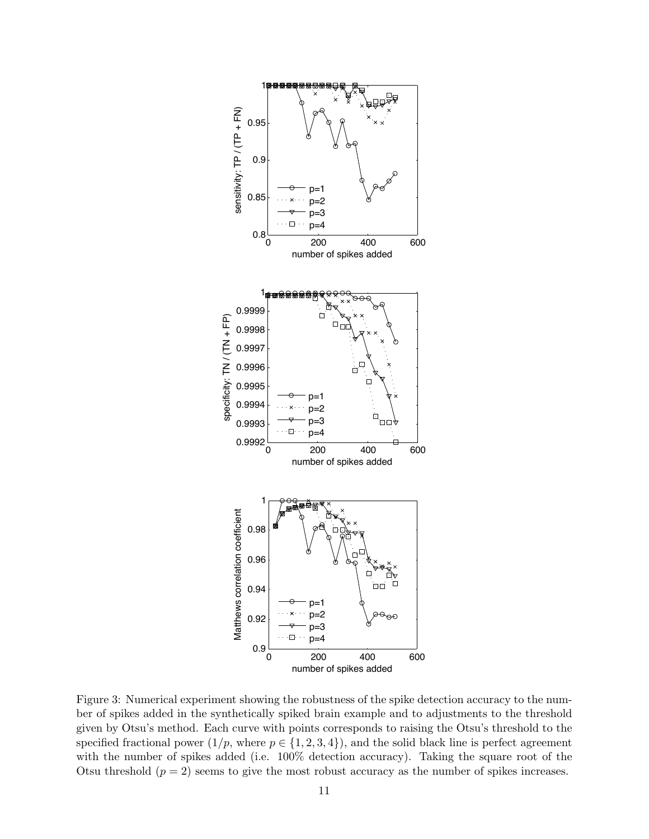

<span id="page-10-0"></span>Figure 3: Numerical experiment showing the robustness of the spike detection accuracy to the number of spikes added in the synthetically spiked brain example and to adjustments to the threshold given by Otsu's method. Each curve with points corresponds to raising the Otsu's threshold to the specified fractional power  $(1/p, \text{ where } p \in \{1, 2, 3, 4\})$ , and the solid black line is perfect agreement with the number of spikes added (i.e. 100% detection accuracy). Taking the square root of the Otsu threshold  $(p = 2)$  seems to give the most robust accuracy as the number of spikes increases.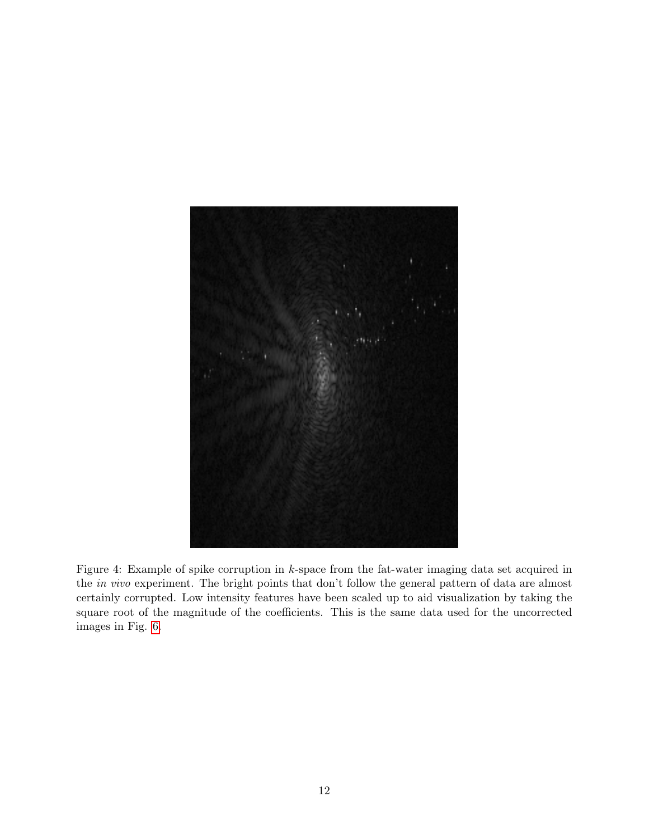<span id="page-11-0"></span>

Figure 4: Example of spike corruption in k-space from the fat-water imaging data set acquired in the in vivo experiment. The bright points that don't follow the general pattern of data are almost certainly corrupted. Low intensity features have been scaled up to aid visualization by taking the square root of the magnitude of the coefficients. This is the same data used for the uncorrected images in Fig. [6.](#page-13-0)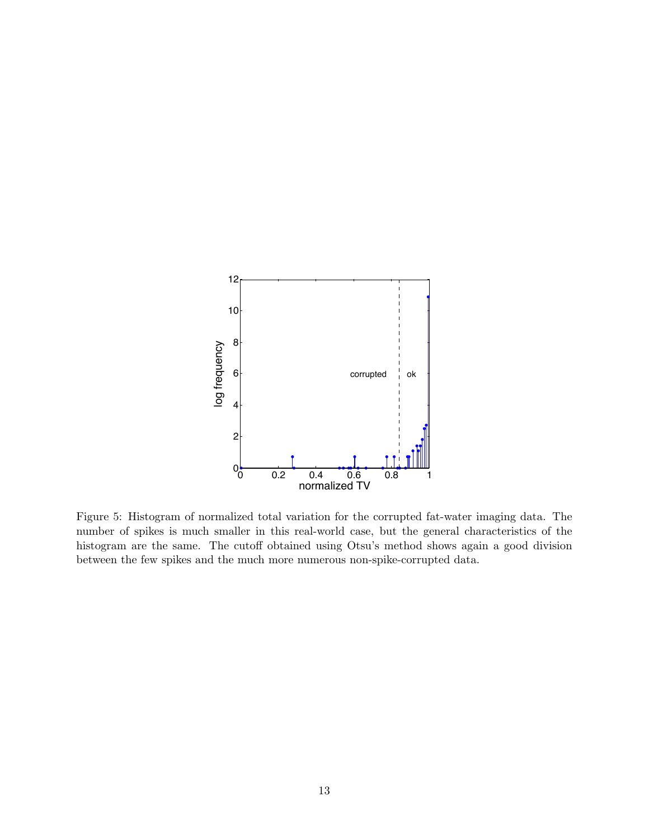

<span id="page-12-0"></span>Figure 5: Histogram of normalized total variation for the corrupted fat-water imaging data. The number of spikes is much smaller in this real-world case, but the general characteristics of the histogram are the same. The cutoff obtained using Otsu's method shows again a good division between the few spikes and the much more numerous non-spike-corrupted data.